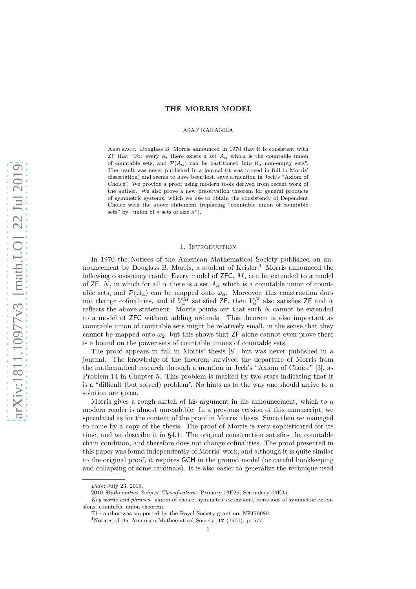## **THE MORRIS MODEL**

## ASAF KARAGILA

Abstract. Douglass B. Morris announced in 1970 that it is consistent with **ZF** that "For every  $\alpha$ , there exists a set  $A_{\alpha}$  which is the countable union of countable sets, and  $\mathcal{P}(A_{\alpha})$  can be partitioned into  $\aleph_{\alpha}$  non-empty sets". The result was never published in a journal (it was proved in full in Morris' dissertation) and seems to have been lost, save a mention in Jech's "Axiom of Choice". We provide a proof using modern tools derived from recent work of the author. We also prove a new preservation theorem for general products of symmetric systems, which we use to obtain the consistency of Dependent Choice with the above statement (replacing "countable union of countable sets" by "union of *κ* sets of size *κ*").

### 1. Introduction

In 1970 the Notices of the American Mathematical Society published an an-nouncement by Douglass B. Morris, a student of Keisler.<sup>[1](#page-0-0)</sup> Morris announced the following consistency result: Every model of ZFC, *M*, can be extended to a model of ZF, N, in which for all  $\alpha$  there is a set  $A_{\alpha}$  which is a countable union of countable sets, and  $\mathcal{P}(A_\alpha)$  can be mapped onto  $\omega_\alpha$ . Moreover, this construction does not change cofinalities, and if  $V_{\alpha}^{\overline{M}}$  satisfied ZF, then  $V_{\alpha}^{\overline{N}}$  also satisfies ZF and it reflects the above statement. Morris points out that such *N* cannot be extended to a model of ZFC without adding ordinals. This theorem is also important as countable union of countable sets might be relatively small, in the sense that they cannot be mapped onto  $\omega_2$ , but this shows that ZF alone cannot even prove there is a bound on the power sets of countable unions of countable sets.

The proof appears in full in Morris' thesis [\[8\]](#page-11-0), but was never published in a journal. The knowledge of the theorem survived the departure of Morris from the mathematical research through a mention in Jech's "Axiom of Choice" [\[3\]](#page-11-1), as Problem 14 in Chapter 5. This problem is marked by two stars indicating that it is a "difficult (but solved) problem". No hints as to the way one should arrive to a solution are given.

Morris gives a rough sketch of his argument in his announcement, which to a modern reader is almost unreadable. In a previous version of this manuscript, we speculated as for the content of the proof in Morris' thesis. Since then we managed to come by a copy of the thesis. The proof of Morris is very sophisticated for its time, and we describe it in [§4.1.](#page-8-0) The original construction satisfies the countable chain condition, and therefore does not change cofinalities. The proof presented in this paper was found independently of Morris' work, and although it is quite similar to the original proof, it requires GCH in the ground model (or careful bookkeeping and collapsing of some cardinals). It is also easier to generalize the technique used

*Date*: July 23, 2019.

<sup>2010</sup> *Mathematics Subject Classification.* Primary 03E25; Secondary 03E35.

*Key words and phrases.* axiom of choice, symmetric extensions, iterations of symmetric extensions, countable union theorem.

The author was supported by the Royal Society grant no. NF170989.

<span id="page-0-0"></span><sup>1</sup>Notices of the American Mathematical Society, **17** (1970), p. 577.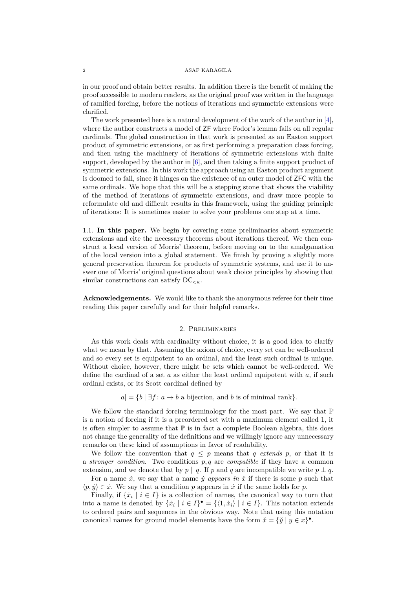in our proof and obtain better results. In addition there is the benefit of making the proof accessible to modern readers, as the original proof was written in the language of ramified forcing, before the notions of iterations and symmetric extensions were clarified.

The work presented here is a natural development of the work of the author in [\[4\]](#page-11-2), where the author constructs a model of ZF where Fodor's lemma fails on all regular cardinals. The global construction in that work is presented as an Easton support product of symmetric extensions, or as first performing a preparation class forcing, and then using the machinery of iterations of symmetric extensions with finite support, developed by the author in [\[6\]](#page-11-3), and then taking a finite support product of symmetric extensions. In this work the approach using an Easton product argument is doomed to fail, since it hinges on the existence of an outer model of ZFC with the same ordinals. We hope that this will be a stepping stone that shows the viability of the method of iterations of symmetric extensions, and draw more people to reformulate old and difficult results in this framework, using the guiding principle of iterations: It is sometimes easier to solve your problems one step at a time.

1.1. **In this paper.** We begin by covering some preliminaries about symmetric extensions and cite the necessary theorems about iterations thereof. We then construct a local version of Morris' theorem, before moving on to the amalgamation of the local version into a global statement. We finish by proving a slightly more general preservation theorem for products of symmetric systems, and use it to answer one of Morris' original questions about weak choice principles by showing that similar constructions can satisfy  $DC_{\leq \kappa}$ .

**Acknowledgements.** We would like to thank the anonymous referee for their time reading this paper carefully and for their helpful remarks.

#### 2. Preliminaries

As this work deals with cardinality without choice, it is a good idea to clarify what we mean by that. Assuming the axiom of choice, every set can be well-ordered and so every set is equipotent to an ordinal, and the least such ordinal is unique. Without choice, however, there might be sets which cannot be well-ordered. We define the cardinal of a set *a* as either the least ordinal equipotent with *a*, if such ordinal exists, or its Scott cardinal defined by

 $|a| = \{b \mid \exists f : a \rightarrow b \text{ a bijection, and } b \text{ is of minimal rank}\}.$ 

We follow the standard forcing terminology for the most part. We say that  $\mathbb P$ is a notion of forcing if it is a preordered set with a maximum element called 1, it is often simpler to assume that  $\mathbb P$  is in fact a complete Boolean algebra, this does not change the generality of the definitions and we willingly ignore any unnecessary remarks on these kind of assumptions in favor of readability.

We follow the convention that  $q \leq p$  means that *q extends p*, or that it is a *stronger condition*. Two conditions *p, q* are *compatible* if they have a common extension, and we denote that by  $p \parallel q$ . If  $p$  and  $q$  are incompatible we write  $p \perp q$ .

For a name  $\dot{x}$ , we say that a name  $\dot{y}$  *appears in*  $\dot{x}$  if there is some p such that  $\langle p, \dot{y} \rangle \in \dot{x}$ . We say that a condition *p* appears in  $\dot{x}$  if the same holds for *p*.

Finally, if  $\{\dot{x}_i \mid i \in I\}$  is a collection of names, the canonical way to turn that into a name is denoted by  $\{\dot{x}_i \mid i \in I\}$ <sup>•</sup> =  $\{\langle 1, \dot{x}_i \rangle \mid i \in I\}$ . This notation extends to ordered pairs and sequences in the obvious way. Note that using this notation canonical names for ground model elements have the form  $\check{x} = {\check{y} | y \in x}$ .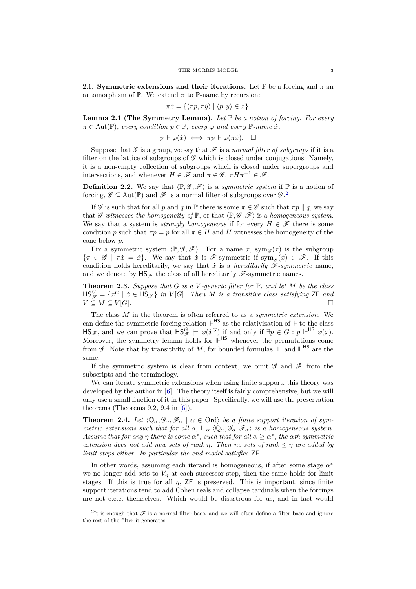2.1. **Symmetric extensions and their iterations.** Let  $\mathbb{P}$  be a forcing and  $\pi$  an automorphism of  $\mathbb P$ . We extend  $\pi$  to  $\mathbb P$ -name by recursion:

$$
\pi \dot{x} = \{ \langle \pi p, \pi \dot{y} \rangle \mid \langle p, \dot{y} \rangle \in \dot{x} \}.
$$

**Lemma 2.1 (The Symmetry Lemma).** *Let* P *be a notion of forcing. For every*  $\pi \in \text{Aut}(\mathbb{P})$ , every condition  $p \in \mathbb{P}$ , every  $\varphi$  and every  $\mathbb{P}$ -name  $\dot{x}$ .

$$
p \Vdash \varphi(\dot{x}) \iff \pi p \Vdash \varphi(\pi \dot{x}). \quad \Box
$$

Suppose that  $\mathscr G$  is a group, we say that  $\mathscr F$  is a *normal filter of subgroups* if it is a filter on the lattice of subgroups of  $\mathscr G$  which is closed under conjugations. Namely, it is a non-empty collection of subgroups which is closed under supergroups and intersections, and whenever  $H \in \mathscr{F}$  and  $\pi \in \mathscr{G}$ ,  $\pi H \pi^{-1} \in \mathscr{F}$ .

**Definition 2.2.** We say that  $\langle \mathbb{P}, \mathcal{G}, \mathcal{F} \rangle$  is a *symmetric system* if  $\mathbb{P}$  is a notion of forcing,  $\mathscr{G} \subseteq \text{Aut}(\mathbb{P})$  and  $\mathscr{F}$  is a normal filter of subgroups over  $\mathscr{G}$ .<sup>[2](#page-2-0)</sup>

If G is such that for all p and q in  $\mathbb P$  there is some  $\pi \in \mathscr G$  such that  $\pi p \parallel q$ , we say that  $\mathscr G$  witnesses the homogeneity of  $\mathbb P$ , or that  $\langle \mathbb P, \mathscr G, \mathscr F \rangle$  is a homogeneous system. We say that a system is *strongly homogeneous* if for every  $H \in \mathscr{F}$  there is some condition *p* such that  $\pi p = p$  for all  $\pi \in H$  and *H* witnesses the homogeneity of the cone below *p*.

Fix a symmetric system  $\langle \mathbb{P}, \mathscr{G}, \mathscr{F} \rangle$ . For a name  $\dot{x}$ , sym<sub> $\mathscr{G}(\dot{x})$ </sub> is the subgroup  $\{\pi \in \mathscr{G} \mid \pi x = \dot{x}\}.$  We say that  $\dot{x}$  is  $\mathscr{F}\text{-symmetric}$  if sym<sub> $\mathscr{G}(\dot{x}) \in \mathscr{F}$ . If this</sub> condition holds hereditarily, we say that  $\dot{x}$  is a *hereditarily*  $\mathscr{F}\text{-symmetric}$  name, and we denote by  $\mathsf{HS}_{\mathscr{F}}$  the class of all hereditarily  $\mathscr{F}$ -symmetric names.

**Theorem 2.3.** *Suppose that G is a V -generic filter for* P*, and let M be the class*  $\text{HS}_{\mathscr{F}}^G = \{ \dot{x}^G \mid \dot{x} \in \text{HS}_{\mathscr{F}} \}$  in  $V[G]$ . Then M is a transitive class satisfying ZF and  $V \subseteq M \subseteq V[G].$ 

The class *M* in the theorem is often referred to as a *symmetric extension*. We can define the symmetric forcing relation  $\mathbb{H}^{\mathsf{HS}}$  as the relativization of  $\mathbb H$  to the class  $\text{HS}_{\mathscr{F}}$ , and we can prove that  $\text{HS}_{\mathscr{F}}^G \models \varphi(\dot{x}^G)$  if and only if  $\exists p \in G : p \Vdash^{\text{HS}} \varphi(\dot{x})$ . Moreover, the symmetry lemma holds for  $\vert f \vert^{HS}$  whenever the permutations come from  $\mathscr G$ . Note that by transitivity of M, for bounded formulas,  $\Vdash$  and  $\Vdash$ <sup>HS</sup> are the same.

If the symmetric system is clear from context, we omit  $\mathscr G$  and  $\mathscr F$  from the subscripts and the terminology.

We can iterate symmetric extensions when using finite support, this theory was developed by the author in [\[6\]](#page-11-3). The theory itself is fairly comprehensive, but we will only use a small fraction of it in this paper. Specifically, we will use the preservation theorems (Theorems 9.2, 9.4 in  $[6]$ ).

**Theorem 2.4.** Let  $\langle \mathbb{Q}_{\alpha}, \mathscr{G}_{\alpha}, \mathscr{F}_{\alpha} | \alpha \in \text{Ord} \rangle$  be a finite support iteration of sym*metric extensions such that for all*  $\alpha$ ,  $\Vdash_{\alpha} \langle \mathbb{Q}_{\alpha}, \mathscr{G}_{\alpha}, \mathscr{F}_{\alpha} \rangle$  *is a homogeneous system. Assume that for any η there is some*  $\alpha^*$ , *such that for all*  $\alpha \geq \alpha^*$ , *the*  $\alpha$ *th symmetric extension does not add new sets of rank η. Then no sets of rank* ≤ *η are added by limit steps either. In particular the end model satisfies* ZF*.*

In other words, assuming each iterand is homogeneous, if after some stage *α* ∗ we no longer add sets to  $V_n$  at each successor step, then the same holds for limit stages. If this is true for all  $\eta$ ,  $\overline{z}F$  is preserved. This is important, since finite support iterations tend to add Cohen reals and collapse cardinals when the forcings are not c.c.c. themselves. Which would be disastrous for us, and in fact would

<span id="page-2-0"></span><sup>&</sup>lt;sup>2</sup>It is enough that  $\mathscr F$  is a normal filter base, and we will often define a filter base and ignore the rest of the filter it generates.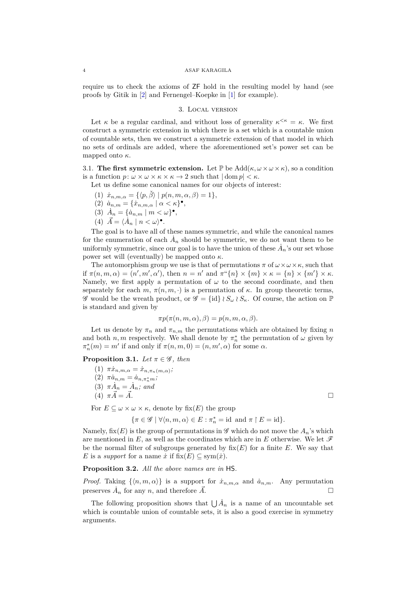require us to check the axioms of ZF hold in the resulting model by hand (see proofs by Gitik in [\[2\]](#page-11-4) and Fernengel–Koepke in [\[1\]](#page-11-5) for example).

## 3. Local version

Let  $\kappa$  be a regular cardinal, and without loss of generality  $\kappa^{\leq \kappa} = \kappa$ . We first construct a symmetric extension in which there is a set which is a countable union of countable sets, then we construct a symmetric extension of that model in which no sets of ordinals are added, where the aforementioned set's power set can be mapped onto *κ*.

3.1. **The first symmetric extension.** Let  $\mathbb{P}$  be  $\text{Add}(\kappa, \omega \times \omega \times \kappa)$ , so a condition is a function  $p: \omega \times \omega \times \kappa \times \kappa \to 2$  such that  $|\text{dom } p| < \kappa$ .

Let us define some canonical names for our objects of interest:

- (1)  $\dot{x}_{n,m,\alpha} = \{ \langle p, \check{\beta} \rangle \mid p(n,m,\alpha,\beta) = 1 \},$
- (2)  $\dot{a}_{n,m} = \{\dot{x}_{n,m,\alpha} \mid \alpha < \kappa\}^{\bullet},$
- (3)  $\dot{A}_n = \{\dot{a}_{n,m} \mid m < \omega\}^\bullet,$
- (4)  $\vec{A} = \langle \dot{A}_n | n \langle \omega \rangle$ <sup>.</sup>

The goal is to have all of these names symmetric, and while the canonical names for the enumeration of each  $\dot{A}_n$  should be symmetric, we do not want them to be uniformly symmetric, since our goal is to have the union of these  $\dot{A}_n$ 's our set whose power set will (eventually) be mapped onto *κ*.

The automorphism group we use is that of permutations  $\pi$  of  $\omega \times \omega \times \kappa$ , such that if  $\pi(n,m,\alpha) = (n',m',\alpha')$ , then  $n = n'$  and  $\pi^{\alpha}\lbrace n \rbrace \times \lbrace m \rbrace \times \kappa = \lbrace n \rbrace \times \lbrace m' \rbrace \times \kappa$ . Namely, we first apply a permutation of  $\omega$  to the second coordinate, and then separately for each  $m, \pi(n, m, \cdot)$  is a permutation of  $\kappa$ . In group theoretic terms, *G* would be the wreath product, or  $\mathcal{G} = \{id\} \wr S_\omega \wr S_\kappa$ . Of course, the action on **P** is standard and given by

$$
\pi p(\pi(n, m, \alpha), \beta) = p(n, m, \alpha, \beta).
$$

Let us denote by  $\pi_n$  and  $\pi_{n,m}$  the permutations which are obtained by fixing *n* and both  $n, m$  respectively. We shall denote by  $\pi_n^*$  the permutation of  $\omega$  given by  $\pi_n^*(m) = m'$  if and only if  $\pi(n, m, 0) = (n, m', \alpha)$  for some  $\alpha$ .

**Proposition 3.1.** *Let*  $\pi \in \mathscr{G}$ *, then* 

- $(1)$   $\pi \dot{x}_{n,m,\alpha} = \dot{x}_{n,\pi_n(m,\alpha)}$
- $(2)$   $\pi \dot{a}_{n,m} = \dot{a}_{n,\pi_m^*m}$ ;
- $(3)$   $\pi \dot{A}_n = \dot{A}_n$ ; and
- (4)  $\pi \vec{A} = \vec{A}$ .

For  $E \subseteq \omega \times \omega \times \kappa$ , denote by fix(*E*) the group

$$
\{\pi\in\mathscr{G}\mid \forall\langle n,m,\alpha\rangle\in E: \pi_n^*=\mathrm{id}\;\,\mathrm{and}\;\pi\upharpoonright E=\mathrm{id}\}.
$$

Namely,  $fix(E)$  is the group of permutations in  $\mathscr G$  which do not move the  $A_n$ 's which are mentioned in  $E$ , as well as the coordinates which are in  $E$  otherwise. We let  $\mathscr F$ be the normal filter of subgroups generated by  $fix(E)$  for a finite  $E$ . We say that *E* is a *support* for a name  $\dot{x}$  if  $fix(E) \subseteq sym(\dot{x})$ .

**Proposition 3.2.** *All the above names are in* HS*.*

*Proof.* Taking  $\{\langle n,m,\alpha\rangle\}$  is a support for  $\dot{x}_{n,m,\alpha}$  and  $\dot{a}_{n,m}$ . Any permutation preserves  $\dot{A}_n$  for any *n*, and therefore  $\vec{A}$ .

The following proposition shows that  $\bigcup \tilde{A}_n$  is a name of an uncountable set which is countable union of countable sets, it is also a good exercise in symmetry arguments.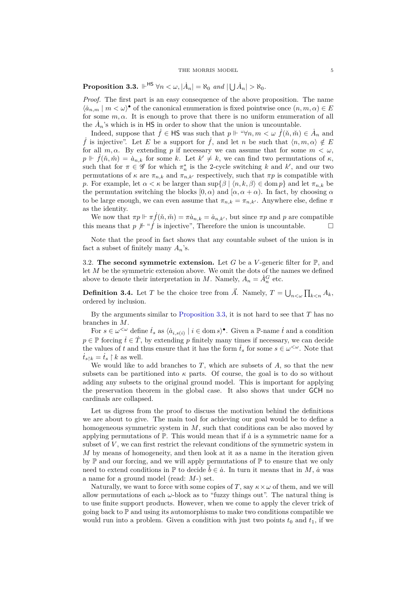<span id="page-4-0"></span>**Proposition 3.3.**  $\Vdash^{\mathsf{HS}} \forall n < \omega, |\dot{A}_n| = \aleph_0$  and  $|\bigcup \dot{A}_n| > \aleph_0$ .

*Proof.* The first part is an easy consequence of the above proposition. The name  $\langle \dot{a}_{n,m} | m \langle \omega \rangle$ <sup>•</sup> of the canonical enumeration is fixed pointwise once  $(n, m, \alpha) \in E$ for some  $m, \alpha$ . It is enough to prove that there is no uniform enumeration of all the  $\dot{A}_n$ 's which is in HS in order to show that the union is uncountable.

Indeed, suppose that  $\dot{f} \in \mathsf{HS}$  was such that  $p \Vdash \text{``}\forall n, m \lt \omega \ \dot{f}(\check{n}, \check{m}) \in \dot{A}_n$  and  $\dot{f}$  is injective". Let *E* be a support for  $\dot{f}$ , and let *n* be such that  $\langle n, m, \alpha \rangle \notin E$ for all  $m, \alpha$ . By extending p if necessary we can assume that for some  $m < \omega$ ,  $p \Vdash \dot{f}(\check{n}, \check{m}) = \dot{a}_{n,k}$  for some *k*. Let  $k' \neq k$ , we can find two permutations of  $\kappa$ , such that for  $\pi \in \mathscr{G}$  for which  $\pi_n^*$  is the 2-cycle switching *k* and *k'*, and our two permutations of  $\kappa$  are  $\pi_{n,k}$  and  $\pi_{n,k'}$  respectively, such that  $\pi p$  is compatible with *p*. For example, let  $\alpha < \kappa$  be larger than sup  $\{\beta \mid \langle n, k, \beta \rangle \in \text{dom } p\}$  and let  $\pi_{n,k}$  be the permutation switching the blocks  $[0, \alpha)$  and  $[\alpha, \alpha + \alpha)$ . In fact, by choosing  $\alpha$ to be large enough, we can even assume that  $\pi_{n,k} = \pi_{n,k'}$ . Anywhere else, define  $\pi$ as the identity.

We now that  $\pi p \Vdash \pi f(\check{n}, \check{m}) = \pi \dot{a}_{n,k} = \dot{a}_{n,k'}$ , but since  $\pi p$  and p are compatible this means that  $p \not\vdash ``\dot{f}$  is injective", Therefore the union is uncountable.  $\Box$ 

Note that the proof in fact shows that any countable subset of the union is in fact a subset of finitely many  $A_n$ 's.

3.2. **The second symmetric extension.** Let  $G$  be a  $V$ -generic filter for  $\mathbb{P}$ , and let *M* be the symmetric extension above. We omit the dots of the names we defined above to denote their interpretation in *M*. Namely,  $A_n = \dot{A}_n^G$  etc.

**Definition 3.4.** Let *T* be the choice tree from  $\vec{A}$ . Namely,  $T = \bigcup_{n < \omega} \prod_{k \le n} A_k$ , ordered by inclusion.

By the arguments similar to [Proposition 3.3,](#page-4-0) it is not hard to see that *T* has no branches in *M*.

For  $s \in \omega^{\leq \omega}$  define  $\dot{t}_s$  as  $\langle \dot{a}_{i,s(i)} \mid i \in \text{dom } s \rangle^{\bullet}$ . Given a P-name  $\dot{t}$  and a condition  $p \in \mathbb{P}$  forcing  $\dot{t} \in \dot{T}$ , by extending *p* finitely many times if necessary, we can decide the values of *t* and thus ensure that it has the form  $\dot{t}_s$  for some  $s \in \omega^{\leq \omega}$ . Note that  $\dot{t}_{s\upharpoonright k} = \dot{t}_s \upharpoonright k$  as well.

We would like to add branches to  $T$ , which are subsets of  $A$ , so that the new subsets can be partitioned into  $\kappa$  parts. Of course, the goal is to do so without adding any subsets to the original ground model. This is important for applying the preservation theorem in the global case. It also shows that under GCH no cardinals are collapsed.

Let us digress from the proof to discuss the motivation behind the definitions we are about to give. The main tool for achieving our goal would be to define a homogeneous symmetric system in *M*, such that conditions can be also moved by applying permutations of  $\mathbb{P}$ . This would mean that if  $\dot{a}$  is a symmetric name for a subset of *V* , we can first restrict the relevant conditions of the symmetric system in *M* by means of homogeneity, and then look at it as a name in the iteration given by  $\mathbb P$  and our forcing, and we will apply permutations of  $\mathbb P$  to ensure that we only need to extend conditions in  $\mathbb{P}$  to decide  $\check{b} \in \dot{a}$ . In turn it means that in *M*,  $\dot{a}$  was a name for a ground model (read: *M*-) set.

Naturally, we want to force with some copies of *T*, say  $\kappa \times \omega$  of them, and we will allow permutations of each  $\omega$ -block as to "fuzzy things out". The natural thing is to use finite support products. However, when we come to apply the clever trick of going back to  $\mathbb P$  and using its automorphisms to make two conditions compatible we would run into a problem. Given a condition with just two points  $t_0$  and  $t_1$ , if we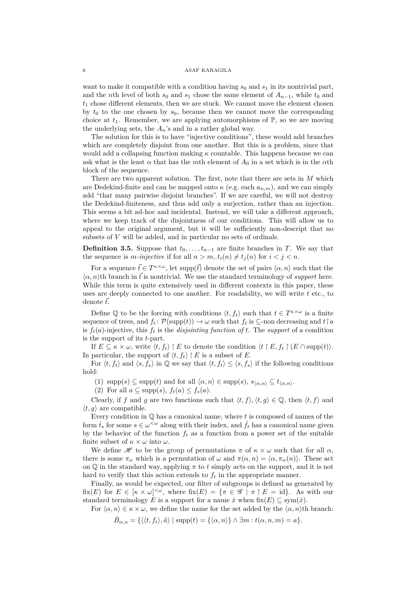want to make it compatible with a condition having  $s_0$  and  $s_1$  in its nontrivial part, and the *n*th level of both  $s_0$  and  $s_1$  chose the same element of  $A_{n-1}$ , while  $t_0$  and *t*<sup>1</sup> chose different elements, then we are stuck. We cannot move the element chosen by  $t_0$  to the one chosen by  $s_0$ , because then we cannot move the corresponding choice at  $t_1$ . Remember, we are applying automorphisms of  $\mathbb{P}$ , so we are moving the underlying sets, the  $A_n$ 's and in a rather global way.

The solution for this is to have "injective conditions", these would add branches which are completely disjoint from one another. But this is a problem, since that would add a collapsing function making *κ* countable. This happens because we can ask what is the least  $\alpha$  that has the *m*th element of  $A_0$  in a set which is in the  $\alpha$ th block of the sequence.

There are two apparent solution. The first, note that there are sets in *M* which are Dedekind-finite and can be mapped onto  $\kappa$  (e.g. each  $a_{n,m}$ ), and we can simply add "that many pairwise disjoint branches". If we are careful, we will not destroy the Dedekind-finiteness, and thus add only a surjection, rather than an injection. This seems a bit ad-hoc and incidental. Instead, we will take a different approach, where we keep track of the disjointness of our conditions. This will allow us to appeal to the original argument, but it will be sufficiently non-descript that no subsets of *V* will be added, and in particular no sets of ordinals.

**Definition 3.5.** Suppose that  $t_0, \ldots, t_{n-1}$  are finite branches in *T*. We say that the sequence is *m*-injective if for all  $n > m$ ,  $t_i(n) \neq t_i(n)$  for  $i < j < n$ .

For a sequence  $\vec{t} \in T^{\kappa \times \omega}$ , let supp $(\vec{t})$  denote the set of pairs  $\langle \alpha, n \rangle$  such that the  $\langle \alpha, n \rangle$ th branch in  $\vec{t}$  is nontrivial. We use the standard terminology of *support* here. While this term is quite extensively used in different contexts in this paper, these uses are deeply connected to one another. For readability, we will write *t* etc., to denote  $\vec{t}$ .

Define Q to be the forcing with conditions  $\langle t, f_t \rangle$  such that  $t \in T^{\kappa \times \omega}$  is a finite sequence of trees, and  $f_t$ :  $\mathcal{P}(\text{supp}(t)) \to \omega$  such that  $f_t$  is  $\subseteq$ -non decreasing and  $t \upharpoonright a$ is  $f_t(a)$ -injective, this  $f_t$  is the *disjointing function of*  $t$ . The *support* of a condition is the support of its *t*-part.

If  $E \subseteq \kappa \times \omega$ , write  $\langle t, f_t \rangle \upharpoonright E$  to denote the condition  $\langle t \upharpoonright E, f_t \upharpoonright (E \cap \text{supp}(t))$ . In particular, the support of  $\langle t, f_t \rangle \restriction E$  is a subset of *E*.

For  $\langle t, f_t \rangle$  and  $\langle s, f_s \rangle$  in Q we say that  $\langle t, f_t \rangle \leq \langle s, f_s \rangle$  if the following conditions hold:

(1)  $\text{supp}(s) \subseteq \text{supp}(t)$  and for all  $\langle \alpha, n \rangle \in \text{supp}(s)$ ,  $s_{\langle \alpha, n \rangle} \subseteq t_{\langle \alpha, n \rangle}$ .

(2) For all  $a \subseteq \text{supp}(s)$ ,  $f_t(a) \leq f_s(a)$ .

Clearly, if *f* and *g* are two functions such that  $\langle t, f \rangle, \langle t, g \rangle \in \mathbb{Q}$ , then  $\langle t, f \rangle$  and  $\langle t, g \rangle$  are compatible.

Every condition in Q has a canonical name, where *t* is composed of names of the form  $\dot{t}_s$  for some  $s \in \omega^{\leq \omega}$  along with their index, and  $\dot{f}_t$  has a canonical name given by the behavior of the function  $f_t$  as a function from a power set of the suitable finite subset of  $\kappa \times \omega$  into  $\omega$ .

We define  $\mathscr H$  to be the group of permutations  $\pi$  of  $\kappa \times \omega$  such that for all  $\alpha$ , there is some  $\pi_{\alpha}$  which is a permutation of  $\omega$  and  $\pi(\alpha, n) = \langle \alpha, \pi_{\alpha}(n) \rangle$ . These act on  $\mathbb Q$  in the standard way, applying  $\pi$  to  $t$  simply acts on the support, and it is not hard to verify that this action extends to  $f_t$  in the appropriate manner.

Finally, as would be expected, our filter of subgroups is defined as generated by fix(*E*) for  $E \in [\kappa \times \omega]^{<\omega}$ , where fix(*E*) = { $\pi \in \mathscr{G} \mid \pi \upharpoonright E = id$ }. As with our standard terminology *E* is a support for a name  $\dot{x}$  when  $fix(E) \subseteq sym(\dot{x})$ .

For  $\langle \alpha, n \rangle \in \kappa \times \omega$ , we define the name for the set added by the  $\langle \alpha, n \rangle$ <sup>th</sup> branch:

 $\dot{B}_{\alpha,n} = \{ \langle \langle t, f_t \rangle, \check{\alpha} \rangle \mid \text{supp}(t) = \{ \langle \alpha, n \rangle \} \wedge \exists m : t(\alpha, n, m) = a \}.$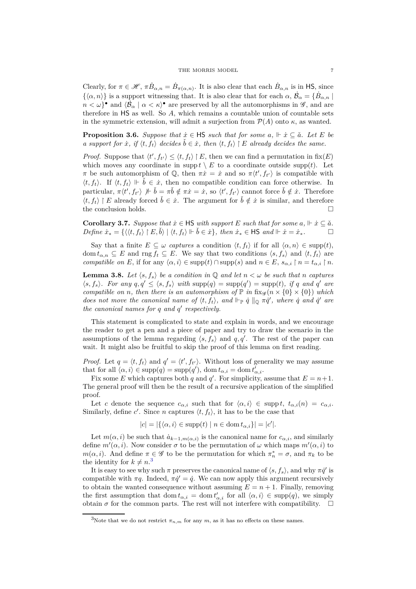Clearly, for  $\pi \in \mathcal{H}$ ,  $\pi \dot{B}_{\alpha,n} = \dot{B}_{\pi(\alpha,n)}$ . It is also clear that each  $\dot{B}_{\alpha,n}$  is in HS, since  $\{\langle \alpha, n \rangle\}$  is a support witnessing that. It is also clear that for each  $\alpha$ ,  $\dot{\mathcal{B}}_{\alpha} = \{\dot{B}_{\alpha,n}\}\$  $n < \omega$ <sup>•</sup> and  $\langle \dot{B}_{\alpha} | \alpha < \kappa \rangle$ <sup>•</sup> are preserved by all the automorphisms in  $\mathscr{G}$ , and are therefore in HS as well. So *A*, which remains a countable union of countable sets in the symmetric extension, will admit a surjection from  $\mathcal{P}(A)$  onto  $\kappa$ , as wanted.

**Proposition 3.6.** *Suppose that*  $\dot{x} \in \text{HS}$  *such that for some*  $a, \Vdash \dot{x} \subseteq \check{a}$ *. Let E be a support for*  $\dot{x}$ , if  $\langle t, f_t \rangle$  decides  $\dot{b} \in \dot{x}$ , then  $\langle t, f_t \rangle \upharpoonright E$  already decides the same.

*Proof.* Suppose that  $\langle t', f_{t'} \rangle \le \langle t, f_t \rangle \mid E$ , then we can find a permutation in fix(*E*) which moves any coordinate in supp  $t \setminus E$  to a coordinate outside supp(*t*). Let *π* be such automorphism of Q, then  $\pi \dot{x} = \dot{x}$  and so  $\pi \langle t', f_{t'} \rangle$  is compatible with  $\langle t, f_t \rangle$ . If  $\langle t, f_t \rangle \Vdash \check{b} \in \dot{x}$ , then no compatible condition can force otherwise. In particular,  $\pi \langle t', f_{t'} \rangle \not\rightarrow \check{b} = \pi \check{b} \notin \pi \dot{x} = \dot{x}$ , so  $\langle t', f_{t'} \rangle$  cannot force  $\check{b} \notin \dot{x}$ . Therefore  $\langle t, f_t \rangle \restriction E$  already forced  $\check{b} \in \dot{x}$ . The argument for  $\check{b} \notin \dot{x}$  is similar, and therefore the conclusion holds.  $\hfill \square$ 

<span id="page-6-1"></span>**Corollary 3.7.** *Suppose that*  $\dot{x} \in \text{HS}$  *with support*  $E$  *such that for some*  $a, \Vdash \dot{x} \subseteq \check{a}$ *.*  $Define\ \dot{x}_* = \{\langle \langle t, f_t \rangle \mid E, \check{b} \rangle \mid \langle t, f_t \rangle \Vdash \check{b} \in \dot{x}\},\ then\ \dot{x}_* \in \mathsf{HS}\ and\ \Vdash \dot{x} = \dot{x}_*.$ 

Say that a finite  $E \subseteq \omega$  *captures* a condition  $\langle t, f_t \rangle$  if for all  $\langle \alpha, n \rangle \in \text{supp}(t)$ , dom  $t_{\alpha,n} \subseteq E$  and rng  $f_t \subseteq E$ . We say that two conditions  $\langle s, f_s \rangle$  and  $\langle t, f_t \rangle$  are *compatible on*  $E$ , if for any  $\langle \alpha, i \rangle \in \text{supp}(t) \cap \text{supp}(s)$  and  $n \in E$ ,  $s_{\alpha,i} \upharpoonright n = t_{\alpha,i} \upharpoonright n$ .

<span id="page-6-2"></span>**Lemma 3.8.** Let  $\langle s, f_s \rangle$  be a condition in Q and let  $n < \omega$  be such that *n* captures  $\langle s, f_s \rangle$ . For any  $q, q' \leq \langle s, f_s \rangle$  with  $\text{supp}(q) = \text{supp}(q') = \text{supp}(t)$ , if q and q' are *compatible on n, then there is an automorphism of*  $\mathbb{P}$  *in* fix $\mathscr{G}(n \times \{0\} \times \{0\})$  *which does not move the canonical name of*  $\langle t, f_t \rangle$ , and  $\Vdash_{\mathbb{P}} \dot{q} \parallel_{\mathbb{Q}} \pi \dot{q}'$ , where  $\dot{q}$  and  $\dot{q}'$  are *the canonical names for q and q* ′ *respectively.*

This statement is complicated to state and explain in words, and we encourage the reader to get a pen and a piece of paper and try to draw the scenario in the assumptions of the lemma regarding  $\langle s, f_s \rangle$  and  $q, q'$ . The rest of the paper can wait. It might also be fruitful to skip the proof of this lemma on first reading.

*Proof.* Let  $q = \langle t, f_t \rangle$  and  $q' = \langle t', f_{t'} \rangle$ . Without loss of generality we may assume that for all  $\langle \alpha, i \rangle \in \text{supp}(q) = \text{supp}(q')$ , dom  $t_{\alpha,i} = \text{dom } t'_{\alpha,i}$ .

Fix some *E* which captures both *q* and *q*<sup>'</sup>. For simplicity, assume that  $E = n + 1$ . The general proof will then be the result of a recursive application of the simplified proof.

Let *c* denote the sequence  $c_{\alpha,i}$  such that for  $\langle \alpha, i \rangle \in \text{supp } t$ ,  $t_{\alpha,i}(n) = c_{\alpha,i}$ . Similarly, define  $c'$ . Since *n* captures  $\langle t, f_t \rangle$ , it has to be the case that

$$
|c| = |\{\langle \alpha, i \rangle \in \text{supp}(t) \mid n \in \text{dom}\, t_{\alpha,i}\}| = |c'|.
$$

Let  $m(\alpha, i)$  be such that  $\dot{a}_{k-1,m(\alpha,i)}$  is the canonical name for  $c_{\alpha,i}$ , and similarly define  $m'(\alpha, i)$ . Now consider  $\sigma$  to be the permutation of  $\omega$  which maps  $m'(\alpha, i)$  to *m*( $\alpha$ , *i*). And define  $\pi \in \mathscr{G}$  to be the permutation for which  $\pi_n^* = \sigma$ , and  $\pi_k$  to be the identity for  $k \neq n$ <sup>[3](#page-6-0)</sup>

It is easy to see why such  $\pi$  preserves the canonical name of  $\langle s, f_s \rangle$ , and why  $\pi \dot{q}'$  is compatible with  $\pi q$ . Indeed,  $\pi \dot{q}' = \dot{q}$ . We can now apply this argument recursively to obtain the wanted consequence without assuming  $E = n + 1$ . Finally, removing the first assumption that dom  $t_{\alpha,i} = \text{dom } t'_{\alpha,i}$  for all  $\langle \alpha, i \rangle \in \text{supp}(q)$ , we simply obtain  $\sigma$  for the common parts. The rest will not interfere with compatibility.  $\square$ 

<span id="page-6-0"></span><sup>&</sup>lt;sup>3</sup>Note that we do not restrict  $\pi_{n,m}$  for any  $m$ , as it has no effects on these names.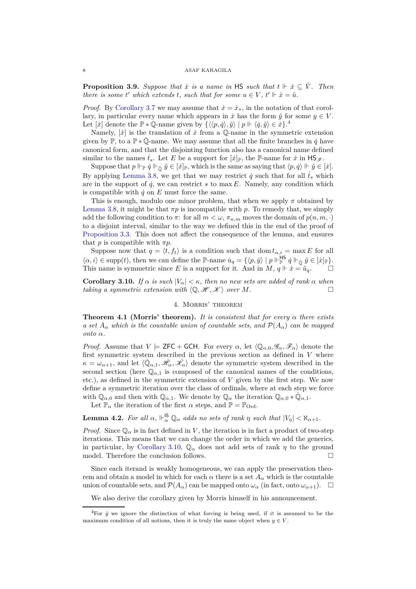**Proposition 3.9.** *Suppose that*  $\dot{x}$  *is a name in* HS *such that*  $t \Vdash \dot{x} \subseteq \check{V}$ *. Then there is some t*<sup> $\prime$ </sup> *which extends t, such that for some*  $u \in V$ *,*  $t' \Vdash \dot{x} = \check{u}$ *.* 

*Proof.* By [Corollary 3.7](#page-6-1) we may assume that  $\dot{x} = \dot{x}_*$ , in the notation of that corollary, in particular every name which appears in  $\dot{x}$  has the form  $\ddot{y}$  for some  $y \in V$ . Let  $[\dot{x}]$  denote the  $\mathbb{P} * \mathbb{Q}$ -name given by  $\{\langle\langle p, \dot{q}\rangle, \check{y}\rangle \mid p \Vdash \langle \dot{q}, \check{y}\rangle \in \dot{x}\}.$ <sup>[4](#page-7-0)</sup>

Namely,  $[\dot{x}]$  is the translation of  $\dot{x}$  from a  $\mathbb{Q}$ -name in the symmetric extension given by  $\mathbb{P}$ , to a  $\mathbb{P} * \dot{\mathbb{Q}}$ -name. We may assume that all the finite branches in  $\dot{q}$  have canonical form, and that the disjointing function also has a canonical name defined similar to the names  $\dot{t}_s$ . Let *E* be a support for  $[\dot{x}]_{\mathbb{P}}$ , the P-name for  $\dot{x}$  in  $\text{HS}_{\mathscr{F}}$ .

Suppose that  $p \Vdash_{\mathbb{P}} \dot{q} \Vdash_{\dot{\mathbb{O}}} \check{y} \in [\dot{x}]_{\mathbb{P}}$ , which is the same as saying that  $\langle p, \dot{q} \rangle \Vdash \check{y} \in [\dot{x}]$ . By applying [Lemma 3.8,](#page-6-2) we get that we may restrict  $\dot{q}$  such that for all  $\dot{t}_s$  which are in the support of  $\dot{q}$ , we can restrict *s* to max *E*. Namely, any condition which is compatible with  $\dot{q}$  on  $E$  must force the same.

This is enough, modulo one minor problem, that when we apply  $\pi$  obtained by [Lemma 3.8,](#page-6-2) it might be that  $\pi p$  is incompatible with p. To remedy that, we simply add the following condition to  $\pi$ : for all  $m < \omega$ ,  $\pi_{n,m}$  moves the domain of  $p(n, m, \cdot)$ to a disjoint interval, similar to the way we defined this in the end of the proof of [Proposition 3.3.](#page-4-0) This does not affect the consequence of the lemma, and ensures that *p* is compatible with  $\pi p$ .

Suppose now that  $q = \langle t, f_t \rangle$  is a condition such that dom  $t_{\alpha,i} = \max E$  for all  $\langle \alpha, i \rangle \in \text{supp}(t)$ , then we can define the P-name  $\dot{u}_q = \{ \langle p, \check{y} \rangle \mid p \Vdash^{\text{HS}}_{\mathbb{P}}$  $P^{\mathsf{BS}}_{\mathbb{P}}$   $\dot{q} \Vdash_{\dot{\mathbb{Q}}} \check{y} \in [\dot{x}]_{\mathbb{P}}$ . This name is symmetric since *E* is a support for it. And in *M*,  $q \Vdash \dot{x} = \check{u}_q$ .

<span id="page-7-1"></span>**Corollary 3.10.** *If*  $\alpha$  *is such*  $|V_{\alpha}| < \kappa$ *, then no new sets are added of rank*  $\alpha$  *when taking a symmetric extension with*  $\langle \mathbb{Q}, \mathcal{H}, \mathcal{K} \rangle$  *over*  $M$ .

# 4. Morris' theorem

**Theorem 4.1 (Morris' theorem).** *It is consistent that for every α there exists a set*  $A_{\alpha}$  *which is the countable union of countable sets, and*  $\mathcal{P}(A_{\alpha})$  *can be mapped onto α.*

*Proof.* Assume that  $V \models \textsf{ZFC} + \textsf{GCH}$ . For every  $\alpha$ , let  $\langle \mathbb{Q}_{\alpha,0}, \mathscr{G}_{\alpha}, \mathscr{F}_{\alpha} \rangle$  denote the first symmetric system described in the previous section as defined in *V* where  $\kappa = \omega_{\alpha+1}$ , and let  $\langle \dot{\mathbb{Q}}_{\alpha,1}, \dot{\mathcal{H}}_{\alpha}, \dot{\mathcal{K}}_{\alpha} \rangle$  denote the symmetric system described in the second section (here  $\mathbb{Q}_{\alpha,1}$  is composed of the canonical names of the conditions, etc.), as defined in the symmetric extension of *V* given by the first step. We now define a symmetric iteration over the class of ordinals, where at each step we force with  $\mathbb{Q}_{\alpha,0}$  and then with  $\mathbb{Q}_{\alpha,1}$ . We denote by  $\mathbb{Q}_{\alpha}$  the iteration  $\mathbb{Q}_{\alpha,0} * \dot{\mathbb{Q}}_{\alpha,1}$ .

Let  $\mathbb{P}_{\alpha}$  the iteration of the first  $\alpha$  steps, and  $\mathbb{P} = \mathbb{P}_{\text{Ord}}$ .

# **Lemma 4.2.** For all  $\alpha$ ,  $\Vdash^{\mathsf{IS}}_{\alpha} \mathbb{Q}_{\alpha}$  adds no sets of rank  $\eta$  such that  $|V_{\eta}| < \aleph_{\alpha+1}$ .

*Proof.* Since  $\mathbb{Q}_{\alpha}$  is in fact defined in *V*, the iteration is in fact a product of two-step iterations. This means that we can change the order in which we add the generics, in particular, by [Corollary 3.10,](#page-7-1)  $\mathbb{Q}_{\alpha}$  does not add sets of rank  $\eta$  to the ground model. Therefore the conclusion follows.  $\Box$ 

Since each iterand is weakly homogeneous, we can apply the preservation theorem and obtain a model in which for each  $\alpha$  there is a set  $A_{\alpha}$  which is the countable union of countable sets, and  $\mathcal{P}(A_\alpha)$  can be mapped onto  $\omega_\alpha$  (in fact, onto  $\omega_{\alpha+1}$ ).  $\Box$ 

We also derive the corollary given by Morris himself in his announcement.

<span id="page-7-0"></span><sup>&</sup>lt;sup>4</sup>For  $\check{y}$  we ignore the distinction of what forcing is being used, if  $\emptyset$  is assumed to be the maximum condition of all notions, then it is truly the same object when  $y \in V$ .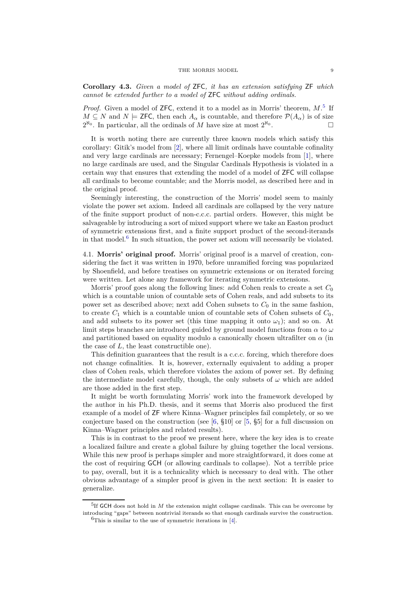**Corollary 4.3.** *Given a model of* ZFC*, it has an extension satisfying* ZF *which cannot be extended further to a model of* ZFC *without adding ordinals.*

Proof. Given a model of **ZFC**, extend it to a model as in Morris' theorem,  $M$ .<sup>[5](#page-8-1)</sup> If *M* ⊆ *N* and *N*  $\models$  **ZFC**, then each  $A_\alpha$  is countable, and therefore  $\mathcal{P}(A_\alpha)$  is of size  $2^{\aleph_0}$ . In particular, all the ordinals of *M* have size at most  $2^{\aleph_0}$ .

It is worth noting there are currently three known models which satisfy this corollary: Gitik's model from [\[2\]](#page-11-4), where all limit ordinals have countable cofinality and very large cardinals are necessary; Fernengel–Koepke models from [\[1\]](#page-11-5), where no large cardinals are used, and the Singular Cardinals Hypothesis is violated in a certain way that ensures that extending the model of a model of ZFC will collapse all cardinals to become countable; and the Morris model, as described here and in the original proof.

Seemingly interesting, the construction of the Morris' model seem to mainly violate the power set axiom. Indeed all cardinals are collapsed by the very nature of the finite support product of non-c.c.c. partial orders. However, this might be salvageable by introducing a sort of mixed support where we take an Easton product of symmetric extensions first, and a finite support product of the second-iterands in that model.[6](#page-8-2) In such situation, the power set axiom will necessarily be violated.

<span id="page-8-0"></span>4.1. **Morris' original proof.** Morris' original proof is a marvel of creation, considering the fact it was written in 1970, before unramified forcing was popularized by Shoenfield, and before treatises on symmetric extensions or on iterated forcing were written. Let alone any framework for iterating symmetric extensions.

Morris' proof goes along the following lines: add Cohen reals to create a set *C*<sup>0</sup> which is a countable union of countable sets of Cohen reals, and add subsets to its power set as described above; next add Cohen subsets to  $C_0$  in the same fashion, to create  $C_1$  which is a countable union of countable sets of Cohen subsets of  $C_0$ , and add subsets to its power set (this time mapping it onto  $\omega_1$ ); and so on. At limit steps branches are introduced guided by ground model functions from *α* to *ω* and partitioned based on equality modulo a canonically chosen ultrafilter on *α* (in the case of *L*, the least constructible one).

This definition guarantees that the result is a c.c.c. forcing, which therefore does not change cofinalities. It is, however, externally equivalent to adding a proper class of Cohen reals, which therefore violates the axiom of power set. By defining the intermediate model carefully, though, the only subsets of  $\omega$  which are added are those added in the first step.

It might be worth formulating Morris' work into the framework developed by the author in his Ph.D. thesis, and it seems that Morris also produced the first example of a model of ZF where Kinna–Wagner principles fail completely, or so we conjecture based on the construction (see  $[6, §10]$  or  $[5, §5]$  for a full discussion on Kinna–Wagner principles and related results).

This is in contrast to the proof we present here, where the key idea is to create a localized failure and create a global failure by gluing together the local versions. While this new proof is perhaps simpler and more straightforward, it does come at the cost of requiring GCH (or allowing cardinals to collapse). Not a terrible price to pay, overall, but it is a technicality which is necessary to deal with. The other obvious advantage of a simpler proof is given in the next section: It is easier to generalize.

<span id="page-8-2"></span><span id="page-8-1"></span><sup>&</sup>lt;sup>5</sup>If GCH does not hold in *M* the extension might collapse cardinals. This can be overcome by introducing "gaps" between nontrivial iterands so that enough cardinals survive the construction.  ${}^{6}$ This is similar to the use of symmetric iterations in [\[4\]](#page-11-2).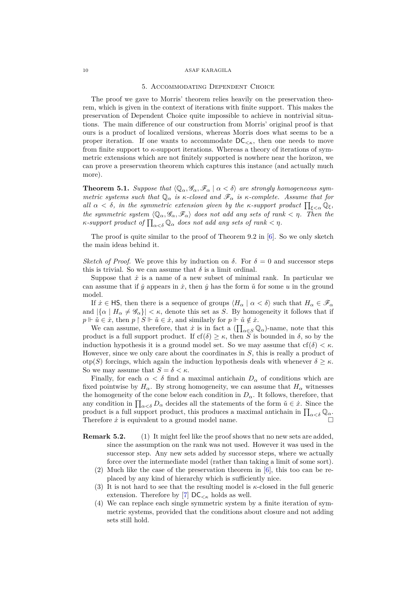## 5. Accommodating Dependent Choice

The proof we gave to Morris' theorem relies heavily on the preservation theorem, which is given in the context of iterations with finite support. This makes the preservation of Dependent Choice quite impossible to achieve in nontrivial situations. The main difference of our construction from Morris' original proof is that ours is a product of localized versions, whereas Morris does what seems to be a proper iteration. If one wants to accommodate  $DC_{\leq \kappa}$ , then one needs to move from finite support to  $\kappa$ -support iterations. Whereas a theory of iterations of symmetric extensions which are not finitely supported is nowhere near the horizon, we can prove a preservation theorem which captures this instance (and actually much more).

**Theorem 5.1.** *Suppose that*  $\langle \mathbb{Q}_{\alpha}, \mathscr{G}_{\alpha}, \mathscr{F}_{\alpha} | \alpha < \delta \rangle$  are strongly homogeneous sym*metric systems such that*  $\mathbb{Q}_{\alpha}$  *is κ-closed and*  $\mathscr{F}_{\alpha}$  *is κ-complete. Assume that for all*  $\alpha < \delta$ , *in the symmetric extension given by the κ-support product*  $\prod_{\xi < \alpha} \mathbb{Q}_{\xi}$ , *the symmetric system*  $\langle \mathbb{Q}_{\alpha}, \mathscr{G}_{\alpha}, \mathscr{F}_{\alpha} \rangle$  does not add any sets of rank  $\langle \eta \rangle$ . Then the *κ*-support product of  $\prod_{\alpha<\delta}\mathbb{Q}_{\alpha}$  does not add any sets of rank  $<\eta$ *.* 

The proof is quite similar to the proof of Theorem 9.2 in [\[6\]](#page-11-3). So we only sketch the main ideas behind it.

*Sketch of Proof.* We prove this by induction on  $\delta$ . For  $\delta = 0$  and successor steps this is trivial. So we can assume that  $\delta$  is a limit ordinal.

Suppose that  $\dot{x}$  is a name of a new subset of minimal rank. In particular we can assume that if  $\dot{y}$  appears in  $\dot{x}$ , then  $\dot{y}$  has the form  $\dot{u}$  for some *u* in the ground model.

If  $\dot{x} \in \mathsf{HS}$ , then there is a sequence of groups  $\langle H_\alpha | \alpha \langle \delta \rangle$  such that  $H_\alpha \in \mathscr{F}_\alpha$ and  $|\{\alpha \mid H_{\alpha} \neq \mathscr{G}_{\alpha}\}| < \kappa$ , denote this set as *S*. By homogeneity it follows that if  $p \Vdash \check{u} \in \dot{x}$ , then  $p \upharpoonright S \Vdash \check{u} \in \dot{x}$ , and similarly for  $p \Vdash \check{u} \notin \dot{x}$ .

We can assume, therefore, that  $\dot{x}$  is in fact a  $(\prod_{\alpha \in S} \mathbb{Q}_{\alpha})$ -name, note that this product is a full support product. If  $cf(\delta) \geq \kappa$ , then *S* is bounded in  $\delta$ , so by the induction hypothesis it is a ground model set. So we may assume that  $cf(\delta) < \kappa$ . However, since we only care about the coordinates in *S*, this is really a product of otp(*S*) forcings, which again the induction hypothesis deals with whenever  $\delta \geq \kappa$ . So we may assume that  $S = \delta < \kappa$ .

Finally, for each  $\alpha < \delta$  find a maximal antichain  $D_{\alpha}$  of conditions which are fixed pointwise by  $H_\alpha$ . By strong homogeneity, we can assume that  $H_\alpha$  witnesses the homogeneity of the cone below each condition in  $D_{\alpha}$ . It follows, therefore, that any condition in  $\prod_{\alpha<\delta}D_{\alpha}$  decides all the statements of the form  $\check{u}\in\dot{x}$ . Since the product is a full support product, this produces a maximal antichain in  $\prod_{\alpha<\delta}\mathbb{Q}_\alpha$ . Therefore  $\dot{x}$  is equivalent to a ground model name.

- **Remark 5.2.** (1) It might feel like the proof shows that no new sets are added, since the assumption on the rank was not used. However it was used in the successor step. Any new sets added by successor steps, where we actually force over the intermediate model (rather than taking a limit of some sort).
	- (2) Much like the case of the preservation theorem in [\[6\]](#page-11-3), this too can be replaced by any kind of hierarchy which is sufficiently nice.
	- It is not hard to see that the resulting model is  $\kappa$ -closed in the full generic extension. Therefore by [\[7\]](#page-11-7)  $DC_{< \kappa}$  holds as well.
	- (4) We can replace each single symmetric system by a finite iteration of symmetric systems, provided that the conditions about closure and not adding sets still hold.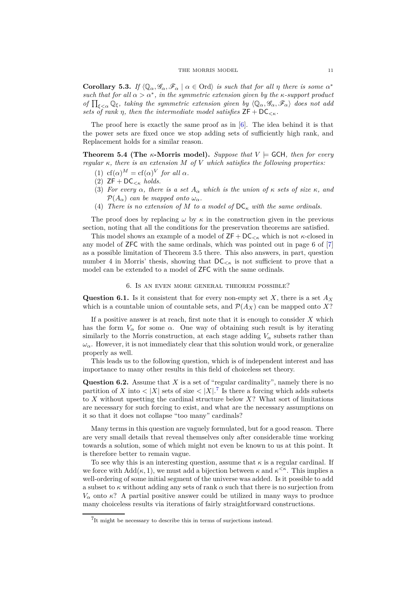**Corollary 5.3.** *If*  $\langle \mathbb{Q}_{\alpha}, \mathscr{G}_{\alpha}, \mathscr{F}_{\alpha} | \alpha \in \text{Ord} \rangle$  *is such that for all*  $\eta$  *there is some*  $\alpha^*$ *such that for all*  $\alpha > \alpha^*$ , *in the symmetric extension given by the*  $\kappa$ -support product *of*  $\prod_{\xi<\alpha}\mathbb{Q}_\xi$ , taking the symmetric extension given by  $\langle\mathbb{Q}_\alpha,\mathscr{G}_\alpha,\mathscr{F}_\alpha\rangle$  does not add *sets of rank η, then the intermediate model satisfies*  $ZF + DC_{\leq \kappa}$ *.* 

The proof here is exactly the same proof as in [\[6\]](#page-11-3). The idea behind it is that the power sets are fixed once we stop adding sets of sufficiently high rank, and Replacement holds for a similar reason.

**Theorem 5.4 (The**  $\kappa$ **-Morris model).** Suppose that  $V \models$  GCH, then for every *regular κ, there is an extension M of V which satisfies the following properties:*

- (1) cf( $\alpha$ )<sup>*M*</sup> = cf( $\alpha$ )<sup>*V*</sup> *for all*  $\alpha$ *.*
- (2)  $ZF + DC_{\leq \kappa} holds.$
- (3) *For every*  $\alpha$ *, there is a set*  $A_{\alpha}$  *which is the union of*  $\kappa$  *sets of size*  $\kappa$ *, and*  $\mathcal{P}(A_{\alpha})$  *can be mapped onto*  $\omega_{\alpha}$ *.*
- (4) *There is no extension of M to a model of*  $DC_{\kappa}$  *with the same ordinals.*

The proof does by replacing  $\omega$  by  $\kappa$  in the construction given in the previous section, noting that all the conditions for the preservation theorems are satisfied.

This model shows an example of a model of  $ZF + DC_{\leq \kappa}$  which is not  $\kappa$ -closed in any model of ZFC with the same ordinals, which was pointed out in page 6 of [\[7\]](#page-11-7) as a possible limitation of Theorem 3.5 there. This also answers, in part, question number 4 in Morris' thesis, showing that  $DC_{< \kappa}$  is not sufficient to prove that a model can be extended to a model of ZFC with the same ordinals.

# 6. Is an even more general theorem possible?

**Question 6.1.** Is it consistent that for every non-empty set *X*, there is a set *A<sup>X</sup>* which is a countable union of countable sets, and  $\mathcal{P}(A_X)$  can be mapped onto X?

If a positive answer is at reach, first note that it is enough to consider *X* which has the form  $V_\alpha$  for some  $\alpha$ . One way of obtaining such result is by iterating similarly to the Morris construction, at each stage adding  $V_\alpha$  subsets rather than  $\omega_{\alpha}$ . However, it is not immediately clear that this solution would work, or generalize properly as well.

This leads us to the following question, which is of independent interest and has importance to many other results in this field of choiceless set theory.

**Question 6.2.** Assume that *X* is a set of "regular cardinality", namely there is no partition of *X* into  $\langle |X| \rangle$  sets of size  $\langle |X| \rangle$ <sup>[7](#page-10-0)</sup>. Is there a forcing which adds subsets to *X* without upsetting the cardinal structure below *X*? What sort of limitations are necessary for such forcing to exist, and what are the necessary assumptions on it so that it does not collapse "too many" cardinals?

Many terms in this question are vaguely formulated, but for a good reason. There are very small details that reveal themselves only after considerable time working towards a solution, some of which might not even be known to us at this point. It is therefore better to remain vague.

To see why this is an interesting question, assume that  $\kappa$  is a regular cardinal. If we force with  $\text{Add}(\kappa, 1)$ , we must add a bijection between  $\kappa$  and  $\kappa^{\leq \kappa}$ . This implies a well-ordering of some initial segment of the universe was added. Is it possible to add a subset to *κ* without adding any sets of rank *α* such that there is no surjection from *V*<sup>*α*</sup> onto *κ*? A partial positive answer could be utilized in many ways to produce many choiceless results via iterations of fairly straightforward constructions.

<span id="page-10-0"></span><sup>7</sup> It might be necessary to describe this in terms of surjections instead.